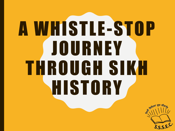# A WHISTLE-STOP JOURNEY THROUGH SIKH HISTORY

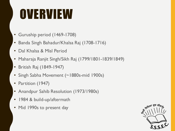### OVERVIEW

- Guruship period (1469-1708)
- Banda Singh Bahadur/Khalsa Raj (1708-1716)
- Dal Khalsa & Misl Period
- Maharaja Ranjit Singh/Sikh Raj (1799/1801-1839/1849)
- British Raj (1849-1947)
- Singh Sabha Movement (~1880s-mid 1900s)
- Partition (1947)
- Anandpur Sahib Resolution (1973/1980s)
- 1984 & build-up/aftermath
- Mid 1990s to present day

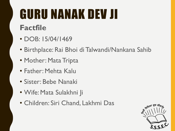#### GURU NANAK DEV JI **Factfile**

- DOB: 15/04/1469
- Birthplace: Rai Bhoi di Talwandi/Nankana Sahib
- Mother: Mata Tripta
- Father: Mehta Kalu
- Sister: Bebe Nanaki
- Wife: Mata Sulakhni Ji
- Children: Siri Chand, Lakhmi Das

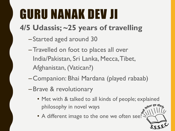### GURU NANAK DEV JI

#### **4/5 Udassis; ~25 years of travelling**

- Started aged around 30
- –Travelled on foot to places all over India/Pakistan, Sri Lanka, Mecca, Tibet, Afghanistan, (Vatican?)
- Companion: Bhai Mardana (played rabaab)
- Brave & revolutionary
	- Met with & talked to all kinds of people; explained philosophy in novel ways
	- A different image to the one we often see!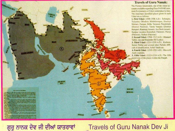#### **Travels of Guru Nanak:**

The Puratan Janamsakhi, one of the oldest accounts available regarding Gura NANAK mentions five journeys or Udasis undertaken by him. The important identified places given in each Udasi are as follows:

1. First Udasi: (1500-1506 A.D.) Sultanpur, Tulamba (Modern Makhdumpur, Dixtrict Multan), Panipat, Delhi, Varanasi, Nanakmata (District Nainital), Tanda Vanjara (District Rampur), Kamnap (Assum), Asa Desh (assam), Saidpur (modern Eminabad, Pakistan). Pasrur (Pakistan), Sialkot (Pakistan),

2. Second Udasi: (1506-1513 A.D.) Dhanasri Valley, sea and Singladip (Sri Lanka),

3. Third Udasi: (1514-1518 A.D.) Kashmir, Sumer Parbat and several other Parbats difficult of identification, Achal Vatala etc.

4. Fourth Udasi: (1519-1521 A.D.) Mecca & Arab countries.

5. Fifth Udasi: (1523-1524 A.D.) The fifth travel was of the places within the Punjab.

**HALWAY** 

FERRANEAN SEA

AFRASA

#### ਗੁਰੂ ਨਾਨਕ ਦੇਵ ਜੀ ਦੀਆਂ ਯਾਤਰਾਵਾਂ

USSR.

**LYCK** 

 $\left( \bullet \right)$ 

#### **Travels of Guru Nanak Dev Ji**

**BAY OF RETAINE** 

**CHINA**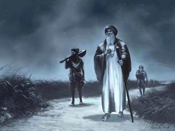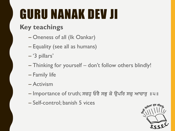### GURU NANAK DEV JI

#### **Key teachings**

- Oneness of all (Ik Oankar)
- Equality (see all as humans)
- '3 pillars'
- Thinking for yourself don't follow others blindly!
- Family life
- Activism
- $-$  Importance of truth; ਸਚਹੁ ਓਰੈ ਸਭੁ ਕੋ ਉਪਰਿ ਸਚੁ ਆਚਾਰੁ ॥ਪ॥
- Self-control; banish 5 vices

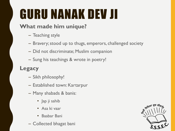### GURU NANAK DEV JI

#### **What made him unique?**

- Teaching style
- Bravery; stood up to thugs, emperors, challenged society
- Did not discriminate; Muslim companion
- Sung his teachings & wrote in poetry!

#### **Legacy**

- Sikh philosophy!
- Established town: Kartarpur
- Many shabads & banis:
	- Jap ji sahib
	- Asa ki vaar
	- Baabar Bani
- Collected bhagat bani

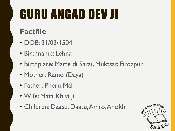### GURU ANGAD DEV JI

- DOB: 31/03/1504
- Birthname: Lehna
- Birthplace: Matte di Sarai, Muktsar, Firozpur
- Mother: Ramo (Daya)
- Father: Pheru Mal
- Wife: Mata Khivi Ji
- Children: Daasu, Daatu, Amro, Anokhi

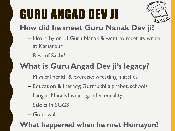## GURU ANGAD DEV JI



#### **How did he meet Guru Nanak Dev ji?**

- Heard hymn of Guru Nanak & went to meet its writer at Kartarpur
- Rest of Sakhi?

#### **What is Guru Angad Dev ji's legacy?**

- Physical health & exercise; wrestling matches
- Education & literacy; Gurmukhi alphabet, schools
- Langar; Mata Khivi ji gender equality
- Saloks in SGGS
- Goindwal

#### **What happened when he met Humayun?**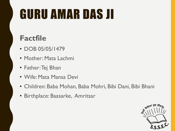### GURU AMAR DAS JI

- DOB 05/05/1479
- Mother: Mata Lachmi
- Father: Tej Bhan
- Wife: Mata Mansa Devi
- Children: Baba Mohan, Baba Mohri, Bibi Dani, Bibi Bhani
- Birthplace: Baasarke, Amritsar

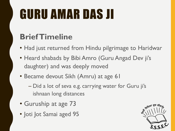### GURU AMAR DAS JI

#### **Brief Timeline**

- Had just returned from Hindu pilgrimage to Haridwar
- Heard shabads by Bibi Amro (Guru Angad Dev ji's daughter) and was deeply moved
- Became devout Sikh (Amru) at age 61
	- Did a lot of seva e.g. carrying water for Guru ji's ishnaan long distances
- Guruship at age 73
- Joti Jot Samai aged 95

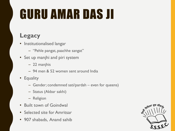### GURU AMAR DAS JI

#### **Legacy**

- Institutionalised langar
	- "Pehle pangat, paachhe sangat"
- Set up manjhi and piri system
	- 22 manjhis
	- 94 men & 52 women sent around India
- Equality
	- Gender; condemned sati/pardah even for queens)
	- Status (Akbar sakhi)
	- Religion
- Built town of Goindwal
- Selected site for Amritsar
- 907 shabads, Anand sahib

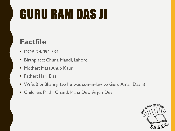### GURU RAM DAS JI

- DOB: 24/09/1534
- Birthplace: Chuna Mandi, Lahore
- Mother: Mata Anup Kaur
- Father: Hari Das
- Wife: Bibi Bhani ji (so he was son-in-law to Guru Amar Das ji)
- Children: Prithi Chand, Maha Dev, Arjun Dev

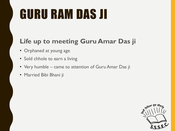### GURU RAM DAS JI

#### **Life up to meeting Guru Amar Das ji**

- Orphaned at young age
- Sold chhole to earn a living
- Very humble came to attention of Guru Amar Das ji
- Married Bibi Bhani ji

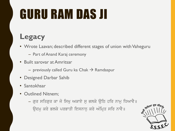### GURU RAM DAS JI

#### **Legacy**

- Wrote Laavan; described different stages of union with Vaheguru
	- Part of Anand Karaj ceremony
- Built sarovar at Amritsar
	- $-$  previously called Guru ka Chak  $\rightarrow$  Ramdaspur
- Designed Darbar Sahib
- Santokhsar
- Outlined Nitnem;
	- ਗੁਰ ਸਤਿਗੁਰ ਕਾ ਜੋ ਸਿਖੂ ਅਕਾਏ ਸੂ ਭਲਕੇ ਉਠਿ ਹਰਿ ਨਾਮੂ ਧਿਆਵੈ॥ ਉਦਮੂ ਕਰੇ ਭਲਕੇ ਪਰਭਾਤੀ ਇਸਨਾਨੂ ਕਰੇ ਅੰਮ੍ਰਿਤ ਸਰਿ ਨਾਵੈ॥

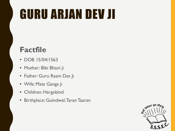### GURU ARJAN DEV JI

- DOB 15/04/1563
- Mother: Bibi Bhani ji
- Father: Guru Raam Das Ji
- Wife: Mata Ganga ji
- Children: Hargobind
- Birthplace: Goindwal, Taran Taaran

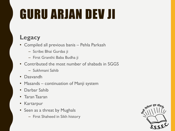### GURU ARJAN DEV JI

#### **Legacy**

- Compiled all previous banis Pehla Parkash
	- Scribe: Bhai Gurdas ji
	- First Granthi: Baba Budha ji
- Contributed the most number of shabads in SGGS
	- Sukhmani Sahib
- Dasvandh
- Masands continuation of Manji system
- Darbar Sahib
- Taran Taaran
- Kartarpur
- Seen as a threat by Mughals
	- First Shaheed in Sikh history

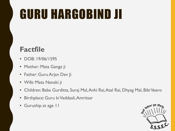### GURU HARGOBIND JI

- DOB: 19/06/1595
- Mother: Mata Ganga ji
- Father: Guru Arjan Dev Ji
- Wife: Mata Nanaki ji
- Children: Baba Gurditta, Suraj Mal, Anhi Rai, Atal Rai, Dhyag Mal, Bibi Veero
- Birthplace: Guru kiVaddaali, Amritsar
- Guruship at age 11

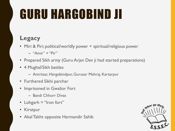### GURU HARGOBIND JI

#### **Legacy**

- Miri & Piri; political/worldly power + spiritual/religious power
	- "Amir" + "Pir"
- Prepared Sikh army (Guru Arjan Dev ji had started preparations)
- 4 Mughal/Sikh battles
	- Amritsar, Hargobindpur, Gurusar Mehraj, Kartarpur
- Furthered Sikhi parchar
- Imprisoned in Gwalior Fort
	- Bandi Chhorr Divas
- Lohgarh = "Iron fort"
- Kiratpur
- Akal Takht opposite Harmandir Sahib

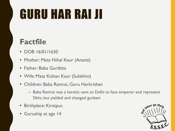### GURU HAR RAI JI

- DOB 16/01/1630
- Mother: Mata Nihal Kaur (Ananti)
- Father: Baba Gurditta
- Wife: Mata Kishan Kaur (Sulakhni)
- Children: Baba Ramrai, Guru Harkrishan
	- Baba Ramrai was a heretic; sent to Delhi to face emperor and represent Sikhs, but yielded and changed gurbani
- Birthplace: Kiratpur,
- Guruship at age 14

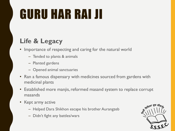### GURU HAR RAI JI

#### **Life & Legacy**

- Importance of respecting and caring for the natural world
	- Tended to plants & animals
	- Planted gardens
	- Opened animal sanctuaries
- Ran a famous dispensary with medicines sourced from gardens with medicinal plants
- Established more manjis, reformed masand system to replace corrupt masands
- Kept army active
	- Helped Dara Shikhon escape his brother Aurangzeb
	- Didn't fight any battles/wars

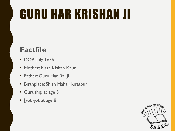### GURU HAR KRISHAN JI

- DOB: July 1656
- Mother: Mata Kishan Kaur
- Father: Guru Har Rai Ji
- Birthplace: Shish Mahal, Kiratpur
- Guruship at age 5
- Jyoti-jot at age 8

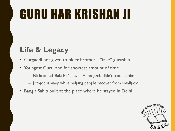### GURU HAR KRISHAN JI

#### **Life & Legacy**

- Gurgaddi not given to older brother "fake" guruship
- Youngest Guru, and for shortest amount of time
	- Nicknamed 'Bala Pir' even Aurangzeb didn't trouble him
	- Joti-jot samaey while helping people recover from smallpox
- Bangla Sahib built at the place where he stayed in Delhi

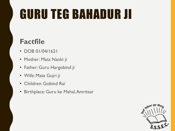### GURU TEG BAHADUR JI

- DOB 01/04/1621
- Mother: Mata Nanki ji
- Father: Guru Hargobind ji
- Wife: Mata Gujri ji
- Children: Gobind Rai
- Birthplace: Guru ke Mahal, Amritsar

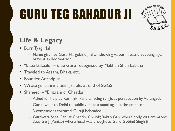## GURU TEG BAHADUR JI



#### **Life & Legacy**

- Born Tyag Mal
	- Name given by Guru Hargobind ji after showing valour in battle at young age; brave & skilled warrior
- "Baba Bakaale" true Guru recognised by Makhan Shah Labana
- Traveled to Assam, Dhaka etc.
- Founded Anandpur
- Wrote gurbani including saloks at end of SGGS
- Shaheedi "Dharam di Chaadar"
	- Asked for help by Kashmiri Pandits facing religious persecution by Aurangzeb
	- Guruji went to Delhi to publicly make a stand against the emperor
	- 3 companions tortured; Guruji beheaded
	- Gurdwara Sees Ganj at Chandni Chowk; Rakab Ganj where body was cremated; Sees Ganj (Punjab) where head was brought to Guru Gobind Singh ji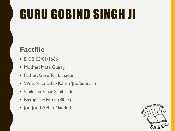### GURU GOBIND SINGH JI

- DOB 05/01/1666
- Mother: Mata Gujri ji
- Father: Guru Teg Bahadur ji
- Wife: Mata Sahib Kaur (/Jito/Sundari)
- Children: Char Sahibzade
- Birthplace: Patna (Bihar)
- Joti-jot: 1708 in Nanded

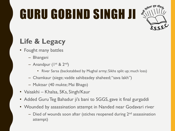### GURU GOBIND SINGH JI



#### **Life & Legacy**

- Fought many battles
	- Bhangani
	- Anandpur ( $1^{st}$  &  $2^{nd}$ )
		- River Sarsa (backstabbed by Mughal army; Sikhs split up; much loss)
	- Chamkaur (siege; vadde sahibzadey shaheed; "sava lakh")
	- Muktsar (40 mukte; Mai Bhago)
- Vaisakhi Khalsa, 5Ks, Singh/Kaur
- Added Guru Teg Bahadur ji's bani to SGGS, gave it final gurgaddi
- Wounded by assassination attempt in Nanded near Godavari river
	- $-$  Died of wounds soon after (stiches reopened during  $2<sup>nd</sup>$  assassination attempt)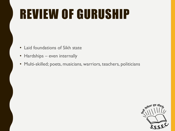### REVIEW OF GURUSHIP

- Laid foundations of Sikh state
- Hardships even internally
- Multi-skilled; poets, musicians, warriors, teachers, politicians

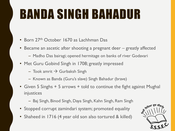### BANDA SINGH BAHADUR

- Born 27<sup>th</sup> October 1670 as Lachhman Das
- Became an ascetic after shooting a pregnant deer greatly affected
	- Madho Das bairagi; opened hermitage on banks of river Godavari
- Met Guru Gobind Singh in 1708; greatly impressed
	- Took amrit  $\rightarrow$  Gurbaksh Singh
	- Known as Banda (Guru's slave) Singh Bahadur (brave)
- Given 5 Singhs + 5 arrows + told to continue the fight against Mughal injustices
	- Baj Singh, Binod Singh, Daya Singh, Kahn Singh, Ram Singh
- Stopped corrupt zamindari system; promoted equality
- Shaheed in 1716 (4 year old son also tortured & killed)

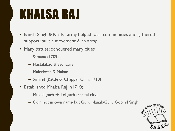#### KHALSA RAJ

- Banda Singh & Khalsa army helped local communities and gathered support; built a movement & an army
- Many battles; conquered many cities
	- Samana (1709)
	- Mastafabad & Sadhaura
	- Malerkotla & Nahan
	- Sirhind (Battle of Chappar Chiri; 1710)
- Established Khalsa Raj in1710;
	- Mukhlisgarh  $\rightarrow$  Lohgarh (capital city)
	- Coin not in own name but Guru Nanak/Guru Gobind Singh

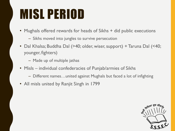### MISL PERIOD

- Mughals offered rewards for heads of Sikhs + did public executions
	- Sikhs moved into jungles to survive persecution
- Dal Khalsa; Buddha Dal (>40; older, wiser, support) + Taruna Dal (<40; younger, fighters)
	- Made up of multiple jathas
- Misls individual confederacies of Punjab/armies of Sikhs
	- Different names…united against Mughals but faced a lot of infighting
- All misls united by Ranjit Singh in 1799

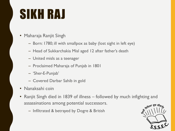### SIKH RAJ

- Maharaja Ranjit Singh
	- Born: 1780; ill with smallpox as baby (lost sight in left eye)
	- Head of Sukkarchakia Misl aged 12 after father's death
	- United misls as a teenager
	- Proclaimed Maharaja of Punjab in 1801
	- 'Sher-E-Punjab'
	- Covered Darbar Sahib in gold
- Nanaksahi coin
- Ranjit Singh died in 1839 of illness followed by much infighting and assassinations among potential successors.
	- Infiltrated & betrayed by Dogre & British

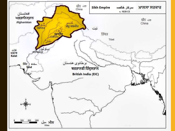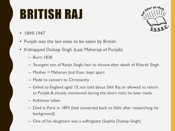### BRITISH RAJ



- 1849-1947
- Punjab was the last state to be taken by British
- Kidnapped Duleep Singh (Last Maharaja of Punjab)
	- Born: 1838
	- Youngest son of Ranjit Singh; heir to throne after death of Kharak Singh
	- Mother = Maharani Jind Kaur; kept apart
	- Made to convert to Christianity
	- Exiled to England aged 15; not told about Sikh Raj or allowed to return to Punjab & closely monitored during the short visits he later made
	- Kohinoor taken
	- Died in Paris in 1893 (had converted back to Sikhi after researching his background)
	- One of his daughters was a suffragette (Sophia Duleep Singh)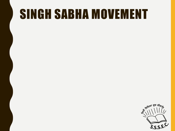#### SINGH SABHA MOVEMENT

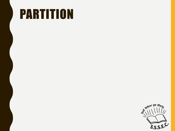#### PARTITION

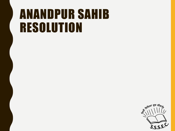#### ANANDPUR SAHIB RESOLUTION